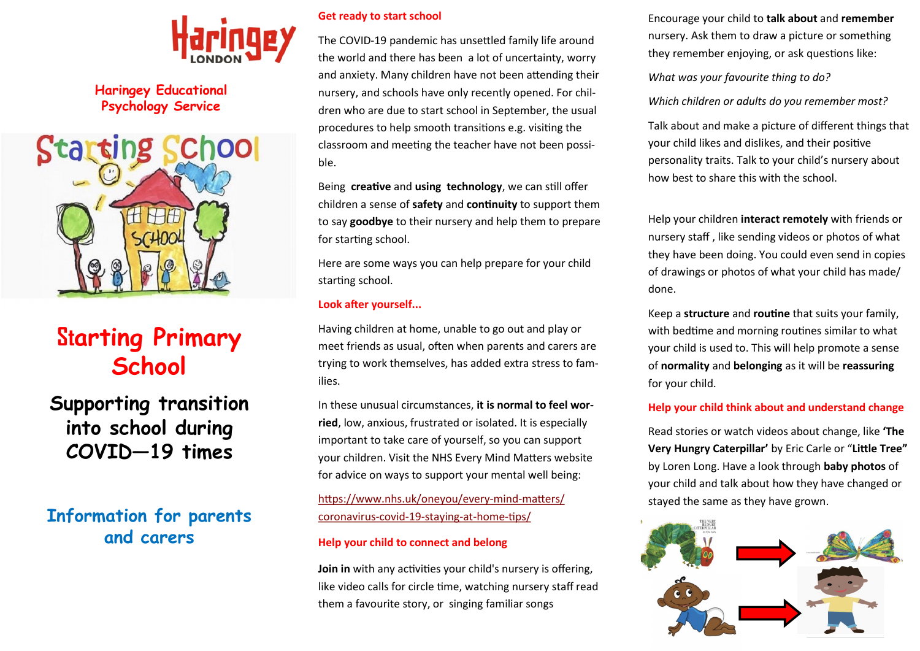

**Haringey Educational Psychology Service**



# **Starting Primary School**

**Supporting transition into school during COVID—19 times**

# **Information for parents and carers**

#### **Get ready to start school**

The COVID-19 pandemic has unsettled family life around the world and there has been a lot of uncertainty, worry and anxiety. Many children have not been attending their nursery, and schools have only recently opened. For children who are due to start school in September, the usual procedures to help smooth transitions e.g. visiting the classroom and meeting the teacher have not been possible.

Being **creative** and **using technology**, we can still offer children a sense of **safety** and **continuity** to support them to say **goodbye** to their nursery and help them to prepare for starting school.

Here are some ways you can help prepare for your child starting school.

#### **Look after yourself...**

Having children at home, unable to go out and play or meet friends as usual, often when parents and carers are trying to work themselves, has added extra stress to families.

In these unusual circumstances, **it is normal to feel worried**, low, anxious, frustrated or isolated. It is especially important to take care of yourself, so you can support your children. Visit the NHS Every Mind Matters website for advice on ways to support your mental well being:

[https://www.nhs.uk/oneyou/every](https://www.nhs.uk/oneyou/every-mind-matters/coronavirus-covid-19-staying-at-home-tips/)-mind-matters/ [coronavirus](https://www.nhs.uk/oneyou/every-mind-matters/coronavirus-covid-19-staying-at-home-tips/)-covid-19-staying-at-home-tips/

#### **Help your child to connect and belong**

**Join in** with any activities your child's nursery is offering, like video calls for circle time, watching nursery staff read them a favourite story, or singing familiar songs

Encourage your child to **talk about** and **remember**  nursery. Ask them to draw a picture or something they remember enjoying, or ask questions like:

*What was your favourite thing to do?* 

*Which children or adults do you remember most?* 

Talk about and make a picture of different things that your child likes and dislikes, and their positive personality traits. Talk to your child's nursery about how best to share this with the school.

Help your children **interact remotely** with friends or nursery staff , like sending videos or photos of what they have been doing. You could even send in copies of drawings or photos of what your child has made/ done.

Keep a **structure** and **routine** that suits your family, with bedtime and morning routines similar to what your child is used to. This will help promote a sense of **normality** and **belonging** as it will be **reassuring**  for your child.

#### **Help your child think about and understand change**

Read stories or watch videos about change, like **'The Very Hungry Caterpillar'** by Eric Carle or "**Little Tree"**  by Loren Long. Have a look through **baby photos** of your child and talk about how they have changed or stayed the same as they have grown.